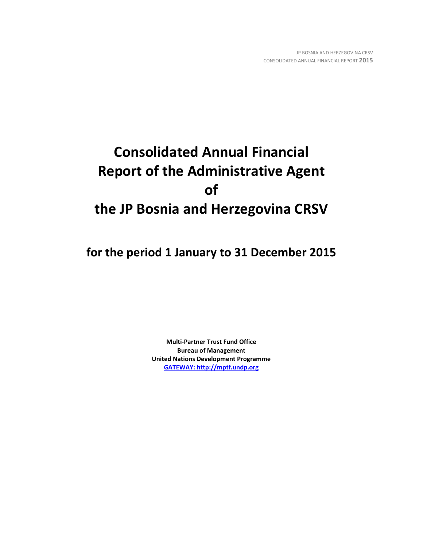# **Consolidated Annual Financial Report of the Administrative Agent of the JP Bosnia and Herzegovina CRSV**

**for the period 1 January to 31 December 2015**

**Multi-Partner Trust Fund Office Bureau of Management United Nations Development Programme [GATEWAY: http://mptf.undp.org](http://mptf.undp.org/)**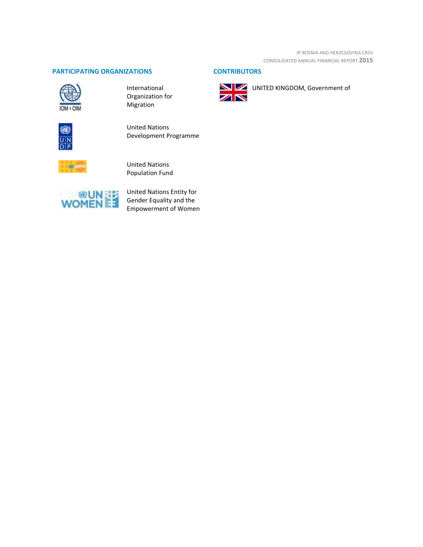JP BOSNIA AND HERZEGOVINA CRSV CONSOLIDATED ANNUAL FINANCIAL REPORT **2015**

# **PARTICIPATING ORGANIZATIONS CONTRIBUTORS**



International Organization for Migration



United Nations Development Programme



United Nations Population Fund



United Nations Entity for Gender Equality and the Empowerment of Women



UNITED KINGDOM, Government of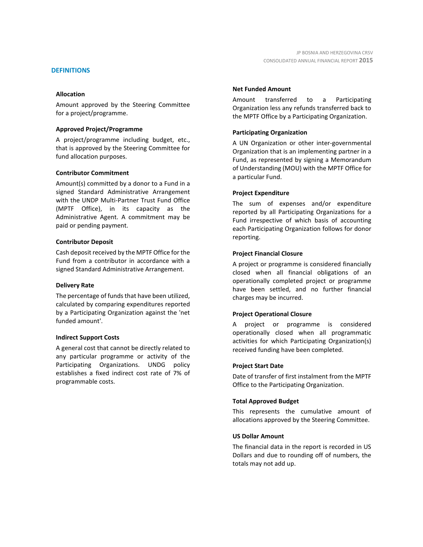#### **DEFINITIONS**

#### **Allocation**

Amount approved by the Steering Committee for a project/programme.

#### **Approved Project/Programme**

A project/programme including budget, etc., that is approved by the Steering Committee for fund allocation purposes.

#### **Contributor Commitment**

Amount(s) committed by a donor to a Fund in a signed Standard Administrative Arrangement with the UNDP Multi-Partner Trust Fund Office (MPTF Office), in its capacity as the Administrative Agent. A commitment may be paid or pending payment.

#### **Contributor Deposit**

Cash deposit received by the MPTF Office for the Fund from a contributor in accordance with a signed Standard Administrative Arrangement.

#### **Delivery Rate**

The percentage of funds that have been utilized, calculated by comparing expenditures reported by a Participating Organization against the 'net funded amount'.

#### **Indirect Support Costs**

A general cost that cannot be directly related to any particular programme or activity of the Participating Organizations. UNDG policy establishes a fixed indirect cost rate of 7% of programmable costs.

#### **Net Funded Amount**

Amount transferred to a Participating Organization less any refunds transferred back to the MPTF Office by a Participating Organization.

#### **Participating Organization**

A UN Organization or other inter-governmental Organization that is an implementing partner in a Fund, as represented by signing a Memorandum of Understanding (MOU) with the MPTF Office for a particular Fund.

#### **Project Expenditure**

The sum of expenses and/or expenditure reported by all Participating Organizations for a Fund irrespective of which basis of accounting each Participating Organization follows for donor reporting.

#### **Project Financial Closure**

A project or programme is considered financially closed when all financial obligations of an operationally completed project or programme have been settled, and no further financial charges may be incurred.

# **Project Operational Closure**

A project or programme is considered operationally closed when all programmatic activities for which Participating Organization(s) received funding have been completed.

#### **Project Start Date**

Date of transfer of first instalment from the MPTF Office to the Participating Organization.

#### **Total Approved Budget**

This represents the cumulative amount of allocations approved by the Steering Committee.

#### **US Dollar Amount**

The financial data in the report is recorded in US Dollars and due to rounding off of numbers, the totals may not add up.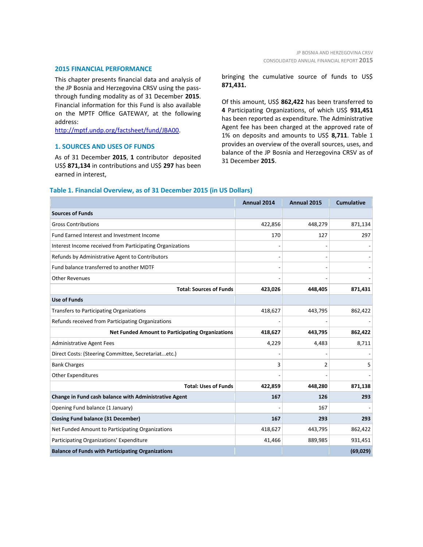#### **2015 FINANCIAL PERFORMANCE**

This chapter presents financial data and analysis of the JP Bosnia and Herzegovina CRSV using the passthrough funding modality as of 31 December **2015**. Financial information for this Fund is also available on the MPTF Office GATEWAY, at the following address:

[http://mptf.undp.org/factsheet/fund/JBA00.](http://mptf.undp.org/factsheet/fund/JBA00)

### **1. SOURCES AND USES OF FUNDS**

As of 31 December **2015**, **1** contributor deposited US\$ **871,134** in contributions and US\$ **297** has been earned in interest,

bringing the cumulative source of funds to US\$ **871,431.**

Of this amount, US\$ **862,422** has been transferred to **4** Participating Organizations, of which US\$ **931,451** has been reported as expenditure. The Administrative Agent fee has been charged at the approved rate of 1% on deposits and amounts to US\$ **8,711**. Table 1 provides an overview of the overall sources, uses, and balance of the JP Bosnia and Herzegovina CRSV as of 31 December **2015**.

#### **Table 1. Financial Overview, as of 31 December 2015 (in US Dollars)**

|                                                           | Annual 2014 | Annual 2015 | <b>Cumulative</b> |
|-----------------------------------------------------------|-------------|-------------|-------------------|
| <b>Sources of Funds</b>                                   |             |             |                   |
| <b>Gross Contributions</b>                                | 422,856     | 448,279     | 871,134           |
| Fund Earned Interest and Investment Income                | 170         | 127         | 297               |
| Interest Income received from Participating Organizations |             |             |                   |
| Refunds by Administrative Agent to Contributors           |             |             |                   |
| Fund balance transferred to another MDTF                  |             |             |                   |
| <b>Other Revenues</b>                                     |             |             |                   |
| <b>Total: Sources of Funds</b>                            | 423,026     | 448,405     | 871,431           |
| <b>Use of Funds</b>                                       |             |             |                   |
| <b>Transfers to Participating Organizations</b>           | 418,627     | 443,795     | 862,422           |
| Refunds received from Participating Organizations         |             |             |                   |
| <b>Net Funded Amount to Participating Organizations</b>   | 418,627     | 443,795     | 862,422           |
| <b>Administrative Agent Fees</b>                          | 4,229       | 4,483       | 8,711             |
| Direct Costs: (Steering Committee, Secretariatetc.)       |             |             |                   |
| <b>Bank Charges</b>                                       | 3           | 2           | 5                 |
| <b>Other Expenditures</b>                                 |             |             |                   |
| <b>Total: Uses of Funds</b>                               | 422,859     | 448,280     | 871,138           |
| Change in Fund cash balance with Administrative Agent     | 167         | 126         | 293               |
| Opening Fund balance (1 January)                          |             | 167         |                   |
| <b>Closing Fund balance (31 December)</b>                 | 167         | 293         | 293               |
| Net Funded Amount to Participating Organizations          | 418,627     | 443,795     | 862,422           |
| Participating Organizations' Expenditure                  | 41,466      | 889,985     | 931,451           |
| <b>Balance of Funds with Participating Organizations</b>  |             |             | (69, 029)         |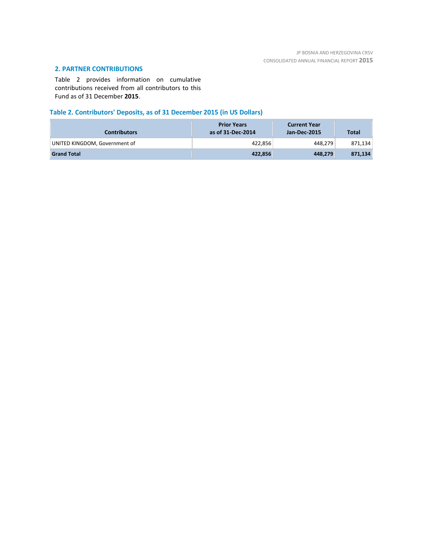# **2. PARTNER CONTRIBUTIONS**

Table 2 provides information on cumulative contributions received from all contributors to this Fund as of 31 December **2015**.

# **Table 2. Contributors' Deposits, as of 31 December 2015 (in US Dollars)**

| <b>Contributors</b>           | <b>Prior Years</b><br>as of 31-Dec-2014 | <b>Current Year</b><br>Jan-Dec-2015 | <b>Total</b> |
|-------------------------------|-----------------------------------------|-------------------------------------|--------------|
| UNITED KINGDOM, Government of | 422,856                                 | 448.279                             | 871,134      |
| <b>Grand Total</b>            | 422.856                                 | 448.279                             | 871,134      |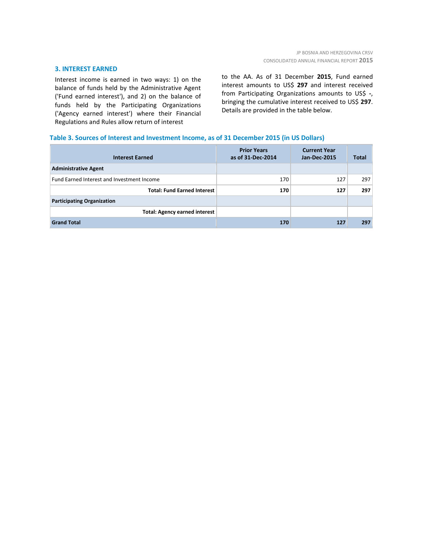#### **3. INTEREST EARNED**

Interest income is earned in two ways: 1) on the balance of funds held by the Administrative Agent ('Fund earned interest'), and 2) on the balance of funds held by the Participating Organizations ('Agency earned interest') where their Financial Regulations and Rules allow return of interest

to the AA. As of 31 December **2015**, Fund earned interest amounts to US\$ **297** and interest received from Participating Organizations amounts to US\$ **-**, bringing the cumulative interest received to US\$ **297**. Details are provided in the table below.

### **Table 3. Sources of Interest and Investment Income, as of 31 December 2015 (in US Dollars)**

| <b>Interest Earned</b>                     | <b>Prior Years</b><br>as of 31-Dec-2014 | <b>Current Year</b><br>Jan-Dec-2015 | <b>Total</b> |
|--------------------------------------------|-----------------------------------------|-------------------------------------|--------------|
| <b>Administrative Agent</b>                |                                         |                                     |              |
| Fund Earned Interest and Investment Income | 170                                     | 127                                 | 297          |
| <b>Total: Fund Earned Interest</b>         | 170                                     | 127                                 | 297          |
| <b>Participating Organization</b>          |                                         |                                     |              |
| Total: Agency earned interest              |                                         |                                     |              |
| <b>Grand Total</b>                         | 170                                     | 127                                 | 297          |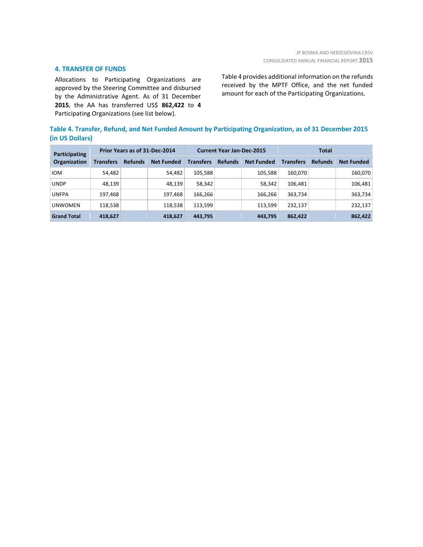#### **4. TRANSFER OF FUNDS**

Allocations to Participating Organizations are approved by the Steering Committee and disbursed by the Administrative Agent. As of 31 December **2015**, the AA has transferred US\$ **862,422** to **4** Participating Organizations (see list below).

Table 4 provides additional information on the refunds received by the MPTF Office, and the net funded amount for each of the Participating Organizations.

# **Table 4. Transfer, Refund, and Net Funded Amount by Participating Organization, as of 31 December 2015 (in US Dollars)**

| Participating<br><b>Organization</b> | Prior Years as of 31-Dec-2014 |                |                   | <b>Current Year Jan-Dec-2015</b> |                |                   | Total            |                |                   |
|--------------------------------------|-------------------------------|----------------|-------------------|----------------------------------|----------------|-------------------|------------------|----------------|-------------------|
|                                      | <b>Transfers</b>              | <b>Refunds</b> | <b>Net Funded</b> | <b>Transfers</b>                 | <b>Refunds</b> | <b>Net Funded</b> | <b>Transfers</b> | <b>Refunds</b> | <b>Net Funded</b> |
| <b>IOM</b>                           | 54,482                        |                | 54,482            | 105,588                          |                | 105,588           | 160.070          |                | 160,070           |
| <b>UNDP</b>                          | 48,139                        |                | 48.139            | 58,342                           |                | 58,342            | 106.481          |                | 106,481           |
| <b>UNFPA</b>                         | 197,468                       |                | 197,468           | 166,266                          |                | 166,266           | 363,734          |                | 363,734           |
| <b>UNWOMEN</b>                       | 118,538                       |                | 118,538           | 113.599                          |                | 113.599           | 232.137          |                | 232,137           |
| <b>Grand Total</b>                   | 418,627                       |                | 418,627           | 443,795                          |                | 443,795           | 862,422          |                | 862,422           |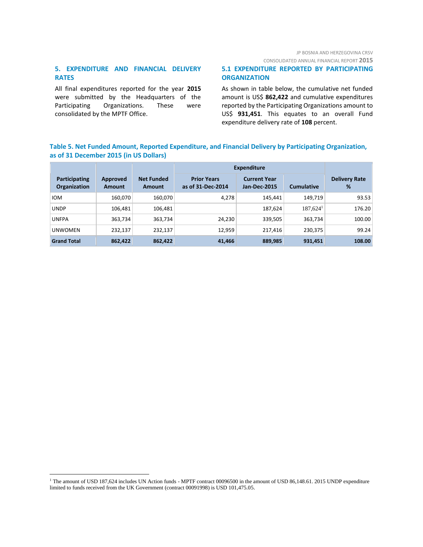# JP BOSNIA AND HERZEGOVINA CRSV

CONSOLIDATED ANNUAL FINANCIAL REPORT **2015**

# **5. EXPENDITURE AND FINANCIAL DELIVERY RATES**

All final expenditures reported for the year **2015** were submitted by the Headquarters of the Participating Organizations. These were consolidated by the MPTF Office.

 $\overline{a}$ 

# **5.1 EXPENDITURE REPORTED BY PARTICIPATING ORGANIZATION**

As shown in table below, the cumulative net funded amount is US\$ **862,422** and cumulative expenditures reported by the Participating Organizations amount to US\$ **931,451**. This equates to an overall Fund expenditure delivery rate of **108** percent.

# **Table 5. Net Funded Amount, Reported Expenditure, and Financial Delivery by Participating Organization, as of 31 December 2015 (in US Dollars)**

|                                      |                    |                                    | <b>Expenditure</b>                      |                                            |                        |                           |
|--------------------------------------|--------------------|------------------------------------|-----------------------------------------|--------------------------------------------|------------------------|---------------------------|
| Participating<br><b>Organization</b> | Approved<br>Amount | <b>Net Funded</b><br><b>Amount</b> | <b>Prior Years</b><br>as of 31-Dec-2014 | <b>Current Year</b><br><b>Jan-Dec-2015</b> | <b>Cumulative</b>      | <b>Delivery Rate</b><br>% |
| <b>IOM</b>                           | 160,070            | 160,070                            | 4,278                                   | 145,441                                    | 149.719                | 93.53                     |
| <b>UNDP</b>                          | 106,481            | 106,481                            |                                         | 187,624                                    | $187,624$ <sup>1</sup> | 176.20                    |
| <b>UNFPA</b>                         | 363,734            | 363,734                            | 24,230                                  | 339,505                                    | 363,734                | 100.00                    |
| <b>UNWOMEN</b>                       | 232,137            | 232,137                            | 12,959                                  | 217,416                                    | 230,375                | 99.24                     |
| <b>Grand Total</b>                   | 862,422            | 862,422                            | 41,466                                  | 889,985                                    | 931,451                | 108.00                    |

<sup>&</sup>lt;sup>1</sup> The amount of USD 187,624 includes UN Action funds - MPTF contract 00096500 in the amount of USD 86,148.61. 2015 UNDP expenditure limited to funds received from the UK Government (contract 00091998) is USD 101,475.05.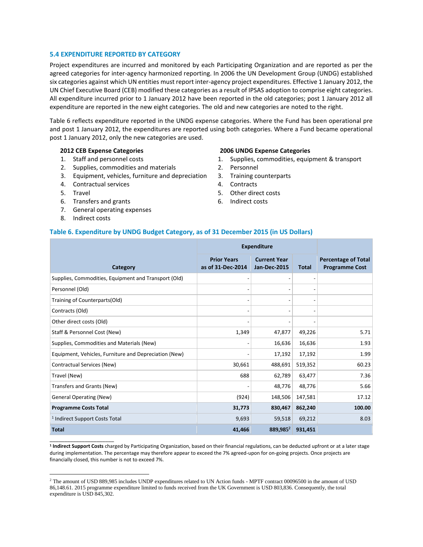#### **5.4 EXPENDITURE REPORTED BY CATEGORY**

Project expenditures are incurred and monitored by each Participating Organization and are reported as per the agreed categories for inter-agency harmonized reporting. In 2006 the UN Development Group (UNDG) established six categories against which UN entities must report inter-agency project expenditures. Effective 1 January 2012, the UN Chief Executive Board (CEB) modified these categories as a result of IPSAS adoption to comprise eight categories. All expenditure incurred prior to 1 January 2012 have been reported in the old categories; post 1 January 2012 all expenditure are reported in the new eight categories. The old and new categories are noted to the right.

Table 6 reflects expenditure reported in the UNDG expense categories. Where the Fund has been operational pre and post 1 January 2012, the expenditures are reported using both categories. Where a Fund became operational post 1 January 2012, only the new categories are used.

#### **2012 CEB Expense Categories**

- 1. Staff and personnel costs
- 2. Supplies, commodities and materials
- 3. Equipment, vehicles, furniture and depreciation
- 4. Contractual services
- 5. Travel
- 6. Transfers and grants
- 7. General operating expenses
- 8. Indirect costs

\_\_\_\_\_\_\_\_\_\_\_\_\_\_\_\_\_\_\_\_\_\_

 $\overline{a}$ 

#### **2006 UNDG Expense Categories**

- 1. Supplies, commodities, equipment & transport
- 2. Personnel
- 3. Training counterparts
- 4. Contracts
- 5. Other direct costs
- 6. Indirect costs

#### **Table 6. Expenditure by UNDG Budget Category, as of 31 December 2015 (in US Dollars)**

|                                                       | <b>Expenditure</b>                      |                                            |         |                                                     |
|-------------------------------------------------------|-----------------------------------------|--------------------------------------------|---------|-----------------------------------------------------|
| Category                                              | <b>Prior Years</b><br>as of 31-Dec-2014 | <b>Current Year</b><br><b>Jan-Dec-2015</b> | Total   | <b>Percentage of Total</b><br><b>Programme Cost</b> |
| Supplies, Commodities, Equipment and Transport (Old)  |                                         |                                            |         |                                                     |
| Personnel (Old)                                       |                                         |                                            |         |                                                     |
| Training of Counterparts(Old)                         |                                         |                                            |         |                                                     |
| Contracts (Old)                                       |                                         |                                            |         |                                                     |
| Other direct costs (Old)                              |                                         |                                            |         |                                                     |
| Staff & Personnel Cost (New)                          | 1,349                                   | 47,877                                     | 49,226  | 5.71                                                |
| Supplies, Commodities and Materials (New)             |                                         | 16,636                                     | 16,636  | 1.93                                                |
| Equipment, Vehicles, Furniture and Depreciation (New) |                                         | 17,192                                     | 17,192  | 1.99                                                |
| Contractual Services (New)                            | 30,661                                  | 488,691                                    | 519,352 | 60.23                                               |
| Travel (New)                                          | 688                                     | 62,789                                     | 63,477  | 7.36                                                |
| Transfers and Grants (New)                            |                                         | 48,776                                     | 48,776  | 5.66                                                |
| <b>General Operating (New)</b>                        | (924)                                   | 148,506                                    | 147,581 | 17.12                                               |
| <b>Programme Costs Total</b>                          | 31,773                                  | 830,467                                    | 862,240 | 100.00                                              |
| <sup>1</sup> Indirect Support Costs Total             | 9,693                                   | 59,518                                     | 69,212  | 8.03                                                |
| <b>Total</b>                                          | 41,466                                  | 889,985 <sup>2</sup>                       | 931,451 |                                                     |

**1 Indirect Support Costs** charged by Participating Organization, based on their financial regulations, can be deducted upfront or at a later stage during implementation. The percentage may therefore appear to exceed the 7% agreed-upon for on-going projects. Once projects are financially closed, this number is not to exceed 7%.

<sup>2</sup> The amount of USD 889,985 includes UNDP expenditures related to UN Action funds - MPTF contract 00096500 in the amount of USD 86,148.61. 2015 programme expenditure limited to funds received from the UK Government is USD 803,836. Consequently, the total expenditure is USD 845,302.